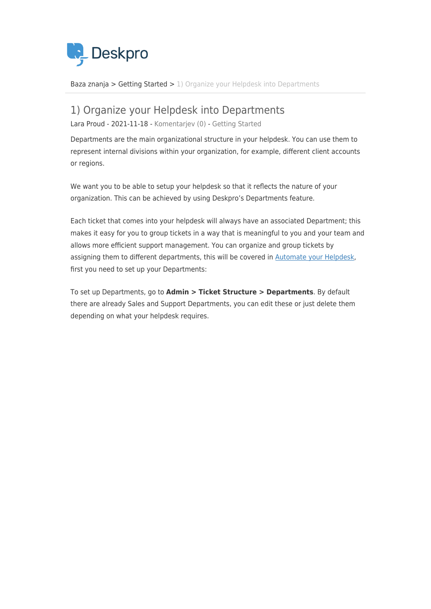

[Baza znanja](https://support.deskpro.com/sl-SI/kb) > [Getting Started](https://support.deskpro.com/sl-SI/kb/getting-started) > [1\) Organize your Helpdesk into Departments](https://support.deskpro.com/sl-SI/kb/articles/1-organize-your-helpdesk-into-departments)

## 1) Organize your Helpdesk into Departments

Lara Proud - 2021-11-18 - [Komentarjev \(0\)](#page--1-0) - [Getting Started](https://support.deskpro.com/sl-SI/kb/getting-started)

Departments are the main organizational structure in your helpdesk. You can use them to represent internal divisions within your organization, for example, different client accounts or regions.

We want you to be able to setup your helpdesk so that it reflects the nature of your organization. This can be achieved by using Deskpro's Departments feature.

Each ticket that comes into your helpdesk will always have an associated Department; this makes it easy for you to group tickets in a way that is meaningful to you and your team and allows more efficient support management. You can organize and group tickets by assigning them to different departments, this will be covered in [Automate your Helpdesk](https://support.deskpro.com/en/kb/articles/4-automate-your-helpdesk), first you need to set up your Departments:

To set up Departments, go to **Admin > Ticket Structure > Departments**. By default there are already Sales and Support Departments, you can edit these or just delete them depending on what your helpdesk requires.